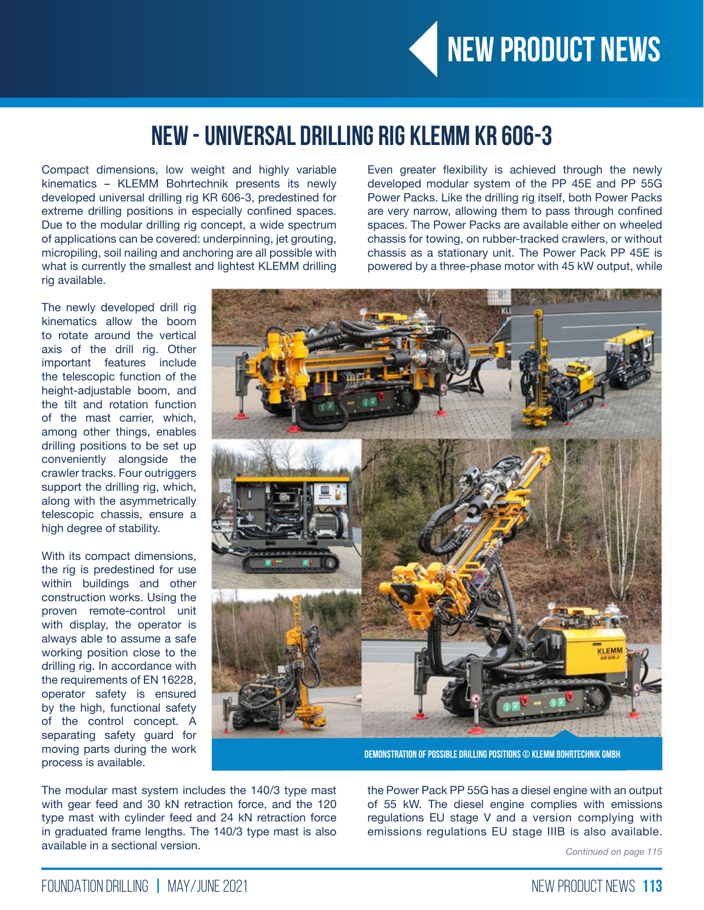

## **NEW - Universal Drilling Rig KLEMM KR 606-3**

Compact dimensions, low weight and highly variable kinematics – KLEMM Bohrtechnik presents its newly developed universal drilling rig KR 606-3, predestined for extreme drilling positions in especially confined spaces. Due to the modular drilling rig concept, a wide spectrum of applications can be covered: underpinning, jet grouting, micropiling, soil nailing and anchoring are all possible with what is currently the smallest and lightest KLEMM drilling rig available.

Even greater flexibility is achieved through the newly developed modular system of the PP 45E and PP 55G Power Packs. Like the drilling rig itself, both Power Packs are very narrow, allowing them to pass through confined spaces. The Power Packs are available either on wheeled chassis for towing, on rubber-tracked crawlers, or without chassis as a stationary unit. The Power Pack PP 45E is powered by a three-phase motor with 45 kW output, while

The newly developed drill rig kinematics allow the boom to rotate around the vertical axis of the drill rig. Other important features include the telescopic function of the height-adjustable boom, and the tilt and rotation function of the mast carrier, which, among other things, enables drilling positions to be set up conveniently alongside the crawler tracks. Four outriggers support the drilling rig, which, along with the asymmetrically telescopic chassis, ensure a high degree of stability.

With its compact dimensions, the rig is predestined for use within buildings and other construction works. Using the proven remote-control unit with display, the operator is always able to assume a safe working position close to the drilling rig. In accordance with the requirements of EN 16228, operator safety is ensured by the high, functional safety of the control concept. A separating safety guard for moving parts during the work process is available.



**Demonstration of possible drilling positions © KLEMM Bohrtechnik GmbH**

The modular mast system includes the 140/3 type mast with gear feed and 30 kN retraction force, and the 120 type mast with cylinder feed and 24 kN retraction force in graduated frame lengths. The 140/3 type mast is also available in a sectional version.

the Power Pack PP 55G has a diesel engine with an output of 55 kW. The diesel engine complies with emissions regulations EU stage V and a version complying with emissions regulations EU stage IIIB is also available.

*Continued on page 115*